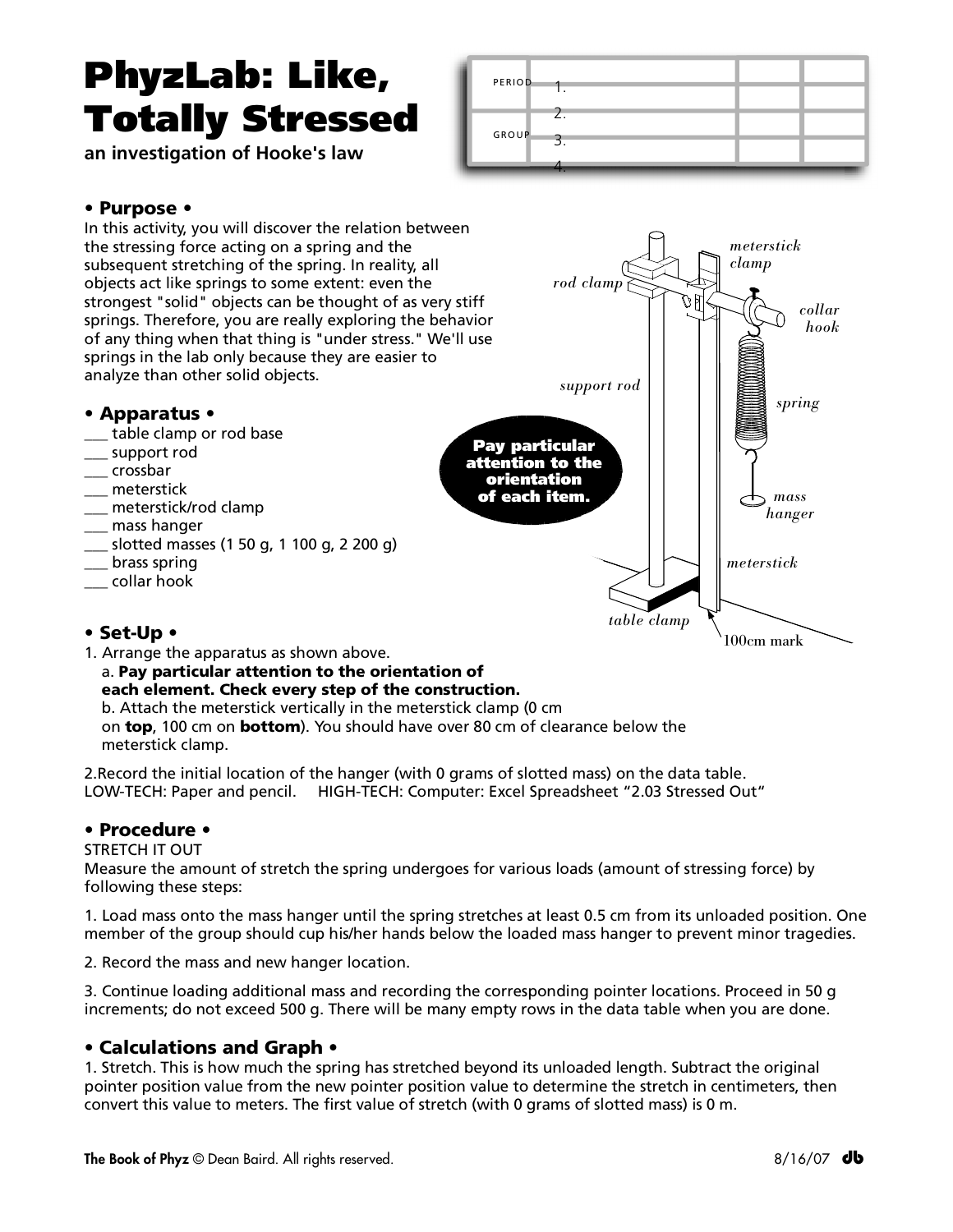# PhyzLab: Like, Totally Stressed

**an investigation of Hooke's law**

| <b>PERIOD</b> |  |  |
|---------------|--|--|
|               |  |  |
| <b>GROUP</b>  |  |  |
|               |  |  |
|               |  |  |

# • Purpose •



#### each element. Check every step of the construction.

b. Attach the meterstick vertically in the meterstick clamp (0 cm on top, 100 cm on bottom). You should have over 80 cm of clearance below the meterstick clamp.

2.Record the initial location of the hanger (with 0 grams of slotted mass) on the data table. LOW-TECH: Paper and pencil. HIGH-TECH: Computer: Excel Spreadsheet "2.03 Stressed Out"

# • Procedure •

#### STRETCH IT OUT

Measure the amount of stretch the spring undergoes for various loads (amount of stressing force) by following these steps:

1. Load mass onto the mass hanger until the spring stretches at least 0.5 cm from its unloaded position. One member of the group should cup his/her hands below the loaded mass hanger to prevent minor tragedies.

2. Record the mass and new hanger location.

3. Continue loading additional mass and recording the corresponding pointer locations. Proceed in 50 g increments; do not exceed 500 g. There will be many empty rows in the data table when you are done.

# • Calculations and Graph •

1. Stretch. This is how much the spring has stretched beyond its unloaded length. Subtract the original pointer position value from the new pointer position value to determine the stretch in centimeters, then convert this value to meters. The first value of stretch (with 0 grams of slotted mass) is 0 m.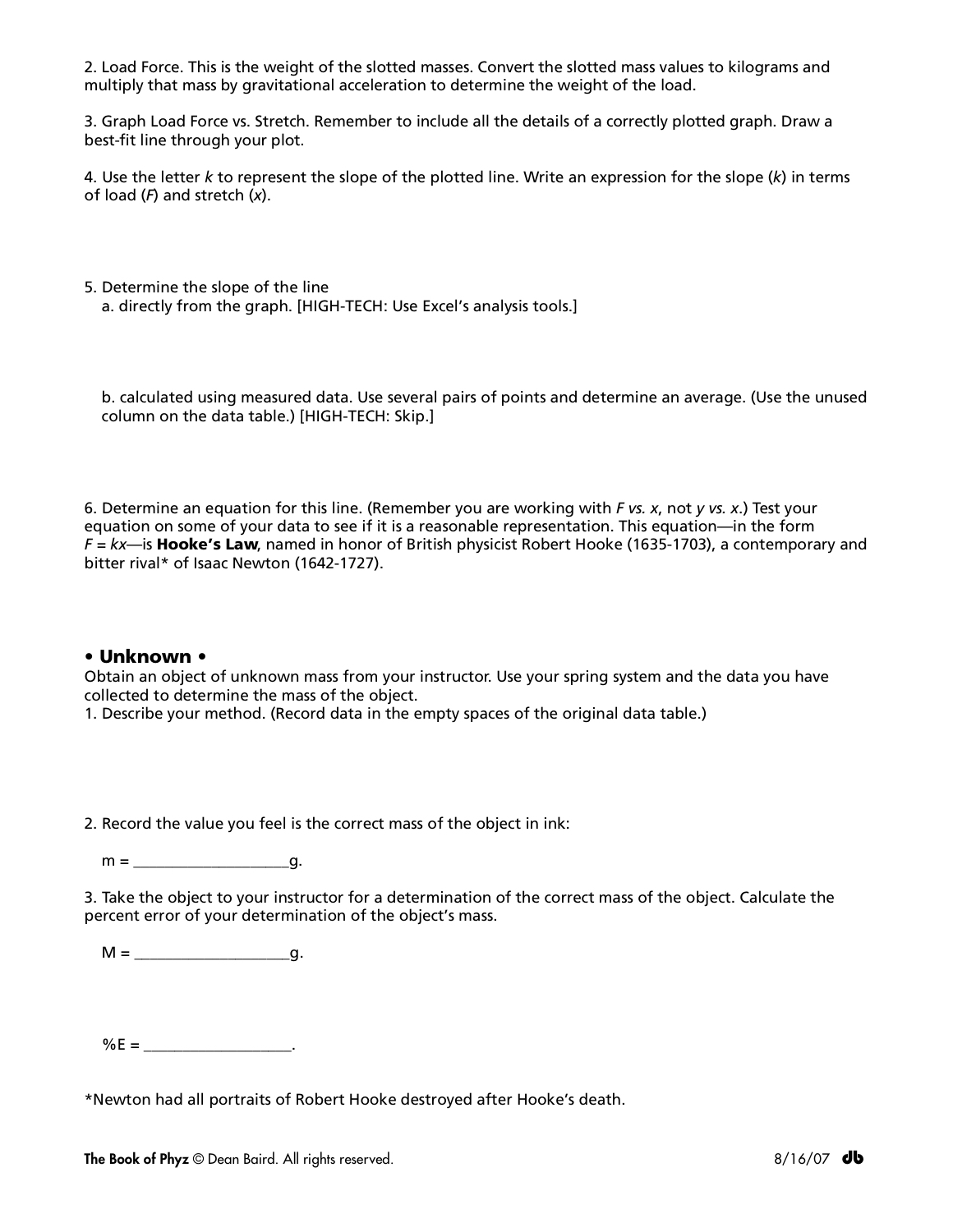2. Load Force. This is the weight of the slotted masses. Convert the slotted mass values to kilograms and multiply that mass by gravitational acceleration to determine the weight of the load.

3. Graph Load Force vs. Stretch. Remember to include all the details of a correctly plotted graph. Draw a best-fit line through your plot.

4. Use the letter *k* to represent the slope of the plotted line. Write an expression for the slope (*k*) in terms of load (*F*) and stretch (*x*).

5. Determine the slope of the line a. directly from the graph. [HIGH-TECH: Use Excel's analysis tools.]

b. calculated using measured data. Use several pairs of points and determine an average. (Use the unused column on the data table.) [HIGH-TECH: Skip.]

6. Determine an equation for this line. (Remember you are working with *F vs. x*, not *y vs. x*.) Test your equation on some of your data to see if it is a reasonable representation. This equation—in the form *F = kx*—is Hooke's Law, named in honor of British physicist Robert Hooke (1635-1703), a contemporary and bitter rival\* of Isaac Newton (1642-1727).

#### • Unknown •

Obtain an object of unknown mass from your instructor. Use your spring system and the data you have collected to determine the mass of the object.

1. Describe your method. (Record data in the empty spaces of the original data table.)

2. Record the value you feel is the correct mass of the object in ink:

 $m =$  q.

3. Take the object to your instructor for a determination of the correct mass of the object. Calculate the percent error of your determination of the object's mass.

M = \_\_\_\_\_\_\_\_\_\_\_\_\_\_\_\_\_\_\_\_g.

%E = \_\_\_\_\_\_\_\_\_\_\_\_\_\_\_\_\_\_\_.

\*Newton had all portraits of Robert Hooke destroyed after Hooke's death.